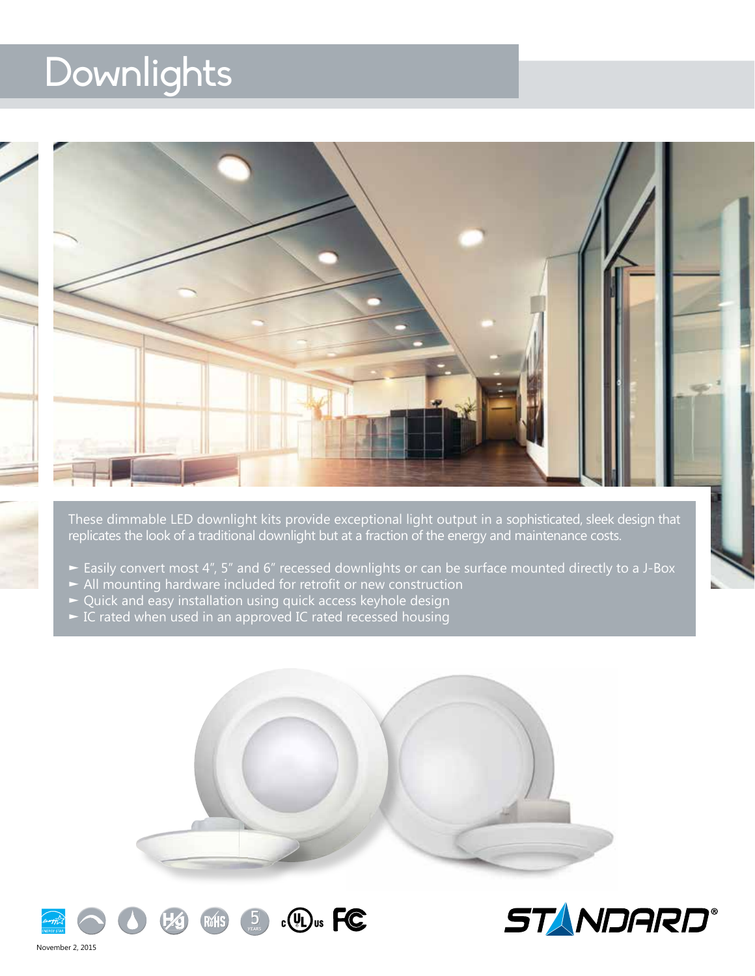## Downlights



These dimmable LED downlight kits provide exceptional light output in a sophisticated, sleek design that replicates the look of a traditional downlight but at a fraction of the energy and maintenance costs.

- ► Easily convert most 4", 5" and 6" recessed downlights or can be surface mounted directly to a J-Box
- ► All mounting hardware included for retrofit or new construction
- ► Quick and easy installation using quick access keyhole design
- ► IC rated when used in an approved IC rated recessed housing